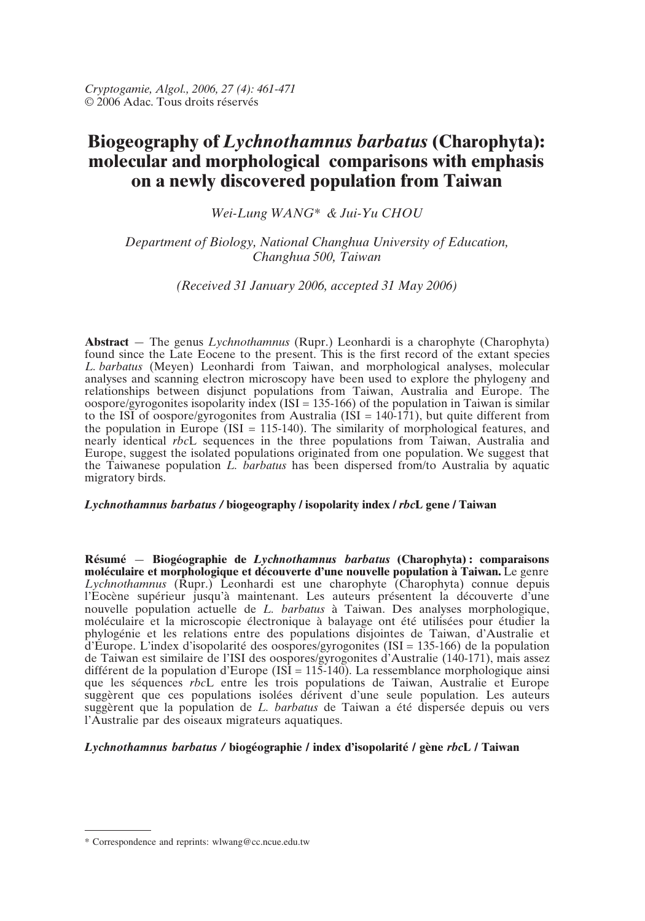# **Biogeography of** *Lychnothamnus barbatus* **(Charophyta): molecular and morphological comparisons with emphasis on a newly discovered population from Taiwan**

*Wei-Lung WANG\* & Jui-Yu CHOU*

# *Department of Biology, National Changhua University of Education, Changhua 500, Taiwan*

## *(Received 31 January 2006, accepted 31 May 2006)*

**Abstract** — The genus *Lychnothamnus* (Rupr.) Leonhardi is a charophyte (Charophyta) found since the Late Eocene to the present. This is the first record of the extant species *L. barbatus* (Meyen) Leonhardi from Taiwan, and morphological analyses, molecular analyses and scanning electron microscopy have been used to explore the phylogeny and relationships between disjunct populations from Taiwan, Australia and Europe. The oospore/gyrogonites isopolarity index  $(ISI = 135{\text -}166)$  of the population in Taiwan is similar to the ISI of oospore/gyrogonites from Australia (ISI =  $140-171$ ), but quite different from the population in Europe (ISI = 115-140). The similarity of morphological features, and nearly identical *rbc*L sequences in the three populations from Taiwan, Australia and Europe, suggest the isolated populations originated from one population. We suggest that the Taiwanese population *L. barbatus* has been dispersed from/to Australia by aquatic migratory birds.

## *Lychnothamnus barbatus /* **biogeography / isopolarity index /** *rbc***L gene / Taiwan**

**Résumé** — **Biogéographie de** *Lychnothamnus barbatus* **(Charophyta) : comparaisons moléculaire et morphologique et découverte d'une nouvelle population à Taiwan.** Le genre *Lychnothamnus* (Rupr.) Leonhardi est une charophyte (Charophyta) connue depuis l'Eocène supérieur jusqu'à maintenant. Les auteurs présentent la découverte d'une nouvelle population actuelle de *L. barbatus* à Taiwan. Des analyses morphologique, moléculaire et la microscopie électronique à balayage ont été utilisées pour étudier la phylogénie et les relations entre des populations disjointes de Taiwan, d'Australie et d'Europe. L'index d'isopolarité des oospores/gyrogonites (ISI = 135-166) de la population de Taiwan est similaire de l'ISI des oospores/gyrogonites d'Australie (140-171), mais assez différent de la population d'Europe (ISI =  $115-140$ ). La ressemblance morphologique ainsi que les séquences *rbc*L entre les trois populations de Taiwan, Australie et Europe suggèrent que ces populations isolées dérivent d'une seule population. Les auteurs suggèrent que la population de *L. barbatus* de Taiwan a été dispersée depuis ou vers l'Australie par des oiseaux migrateurs aquatiques.

## *Lychnothamnus barbatus /* **biogéographie / index d'isopolarité / gène** *rbc***L / Taiwan**

<sup>\*</sup> Correspondence and reprints: wlwang@cc.ncue.edu.tw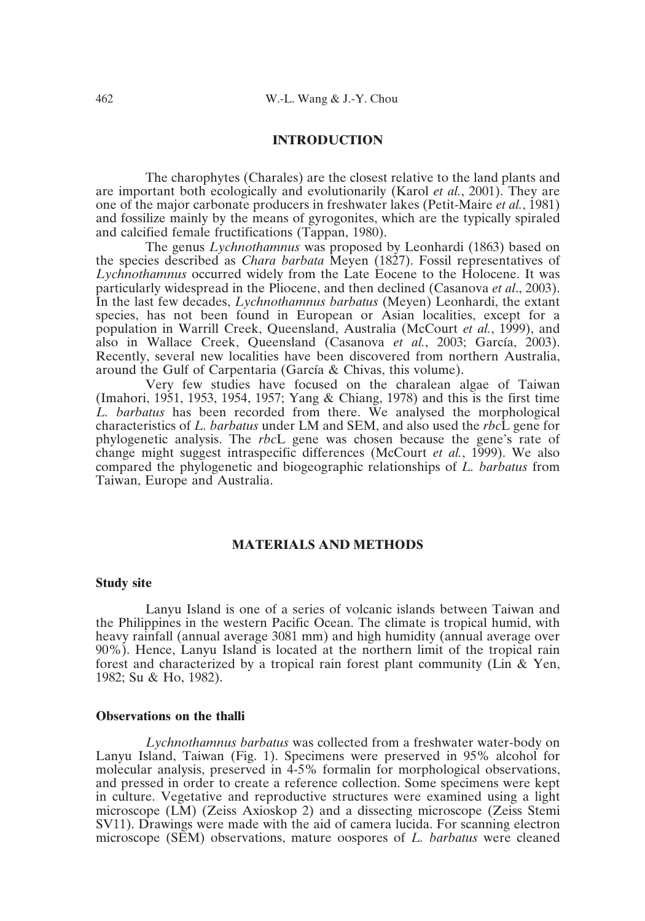## **INTRODUCTION**

The charophytes (Charales) are the closest relative to the land plants and are important both ecologically and evolutionarily (Karol *et al.*, 2001). They are one of the major carbonate producers in freshwater lakes (Petit-Maire *et al.*, 1981) and fossilize mainly by the means of gyrogonites, which are the typically spiraled and calcified female fructifications (Tappan, 1980).

The genus *Lychnothamnus* was proposed by Leonhardi (1863) based on the species described as *Chara barbata* Meyen (1827). Fossil representatives of *Lychnothamnus* occurred widely from the Late Eocene to the Holocene. It was particularly widespread in the Pliocene, and then declined (Casanova *et al*., 2003). In the last few decades, *Lychnothamnus barbatus* (Meyen) Leonhardi, the extant species, has not been found in European or Asian localities, except for a population in Warrill Creek, Queensland, Australia (McCourt *et al.*, 1999), and also in Wallace Creek, Queensland (Casanova *et al.*, 2003; García, 2003). Recently, several new localities have been discovered from northern Australia, around the Gulf of Carpentaria (García & Chivas, this volume).

Very few studies have focused on the charalean algae of Taiwan (Imahori, 1951, 1953, 1954, 1957; Yang & Chiang, 1978) and this is the first time *L. barbatus* has been recorded from there. We analysed the morphological characteristics of *L. barbatus* under LM and SEM, and also used the *rbc*L gene for phylogenetic analysis. The *rbc*L gene was chosen because the gene's rate of change might suggest intraspecific differences (McCourt *et al.*, 1999). We also compared the phylogenetic and biogeographic relationships of *L. barbatus* from Taiwan, Europe and Australia.

#### **MATERIALS AND METHODS**

#### **Study site**

Lanyu Island is one of a series of volcanic islands between Taiwan and the Philippines in the western Pacific Ocean. The climate is tropical humid, with heavy rainfall (annual average 3081 mm) and high humidity (annual average over 90%). Hence, Lanyu Island is located at the northern limit of the tropical rain forest and characterized by a tropical rain forest plant community (Lin & Yen, 1982; Su & Ho, 1982).

## **Observations on the thalli**

*Lychnothamnus barbatus* was collected from a freshwater water-body on Lanyu Island, Taiwan (Fig. 1). Specimens were preserved in 95% alcohol for molecular analysis, preserved in 4-5% formalin for morphological observations, and pressed in order to create a reference collection. Some specimens were kept in culture. Vegetative and reproductive structures were examined using a light microscope (LM) (Zeiss Axioskop 2) and a dissecting microscope (Zeiss Stemi SV11). Drawings were made with the aid of camera lucida. For scanning electron microscope (SEM) observations, mature oospores of *L. barbatus* were cleaned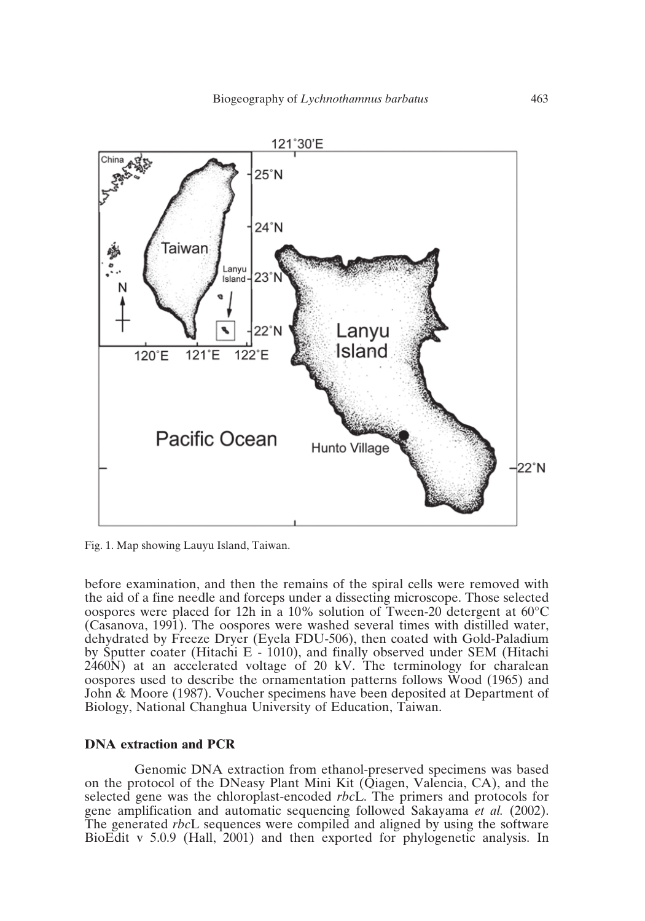

Fig. 1. Map showing Lauyu Island, Taiwan.

before examination, and then the remains of the spiral cells were removed with the aid of a fine needle and forceps under a dissecting microscope. Those selected oospores were placed for 12h in a 10% solution of Tween-20 detergent at 60°C (Casanova, 1991). The oospores were washed several times with distilled water, dehydrated by Freeze Dryer (Eyela FDU-506), then coated with Gold-Paladium by Sputter coater (Hitachi E - 1010), and finally observed under SEM (Hitachi 2460N) at an accelerated voltage of 20 kV. The terminology for charalean oospores used to describe the ornamentation patterns follows Wood (1965) and John & Moore (1987). Voucher specimens have been deposited at Department of Biology, National Changhua University of Education, Taiwan.

## **DNA extraction and PCR**

Genomic DNA extraction from ethanol-preserved specimens was based on the protocol of the DNeasy Plant Mini Kit (Qiagen, Valencia, CA), and the selected gene was the chloroplast-encoded *rbc*L. The primers and protocols for gene amplification and automatic sequencing followed Sakayama *et al.* (2002). The generated *rbc*L sequences were compiled and aligned by using the software BioEdit v 5.0.9 (Hall, 2001) and then exported for phylogenetic analysis. In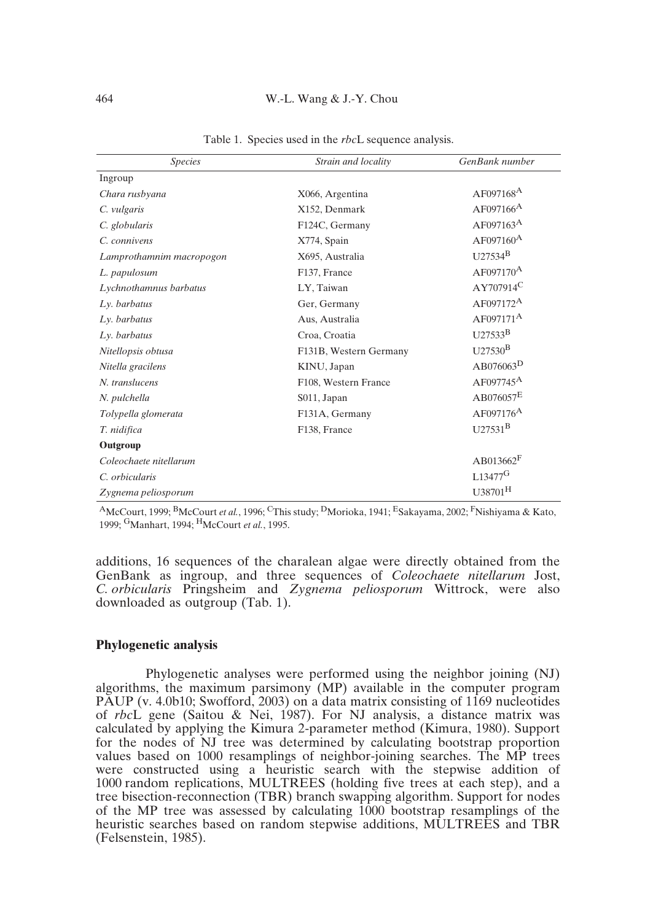#### 464 W.-L. Wang & J.-Y. Chou

| <b>Species</b>           | Strain and locality    | GenBank number          |
|--------------------------|------------------------|-------------------------|
| Ingroup                  |                        |                         |
| Chara rusbyana           | X066, Argentina        | $AF097168^A$            |
| C. vulgaris              | X152, Denmark          | $AF097166^A$            |
| C. globularis            | F124C, Germany         | $AF097163^A$            |
| C. connivens             | X774, Spain            | $AF097160$ <sup>A</sup> |
| Lamprothamnim macropogon | X695, Australia        | $U27534^B$              |
| L. papulosum             | F137, France           | $AF097170^{\text{A}}$   |
| Lychnothamnus barbatus   | LY, Taiwan             | $AY707914^C$            |
| Ly. barbatus             | Ger, Germany           | $AF097172^A$            |
| Ly. barbatus             | Aus, Australia         | $AF097171^A$            |
| Ly. barbatus             | Croa, Croatia          | $1127533^B$             |
| Nitellopsis obtusa       | F131B, Western Germany | $U27530^{\rm B}$        |
| Nitella gracilens        | KINU, Japan            | $AB076063^D$            |
| N. translucens           | F108, Western France   | $AF097745^A$            |
| N. pulchella             | S011, Japan            | $\mathrm{AB076057^E}$   |
| Tolypella glomerata      | F131A, Germany         | $AF097176^A$            |
| T. nidifica              | F138, France           | $U27531^{B}$            |
| Outgroup                 |                        |                         |
| Coleochaete nitellarum   |                        | $AB013662$ <sup>F</sup> |
| C. orbicularis           |                        | $L13477$ <sup>G</sup>   |
| Zygnema peliosporum      |                        | $U38701^H$              |

Table 1. Species used in the *rbc*L sequence analysis.

AMcCourt, 1999; BMcCourt *et al.*, 1996; CThis study; DMorioka, 1941; ESakayama, 2002; FNishiyama & Kato, 1999; GManhart, 1994; HMcCourt *et al.*, 1995.

additions, 16 sequences of the charalean algae were directly obtained from the GenBank as ingroup, and three sequences of *Coleochaete nitellarum* Jost, *C. orbicularis* Pringsheim and *Zygnema peliosporum* Wittrock, were also downloaded as outgroup (Tab. 1).

#### **Phylogenetic analysis**

Phylogenetic analyses were performed using the neighbor joining (NJ) algorithms, the maximum parsimony (MP) available in the computer program PAUP (v. 4.0b10; Swofford, 2003) on a data matrix consisting of 1169 nucleotides of *rbc*L gene (Saitou & Nei, 1987). For NJ analysis, a distance matrix was calculated by applying the Kimura 2-parameter method (Kimura, 1980). Support for the nodes of NJ tree was determined by calculating bootstrap proportion values based on 1000 resamplings of neighbor-joining searches. The MP trees were constructed using a heuristic search with the stepwise addition of 1000 random replications, MULTREES (holding five trees at each step), and a tree bisection-reconnection (TBR) branch swapping algorithm. Support for nodes of the MP tree was assessed by calculating  $1000$  bootstrap resamplings of the heuristic searches based on random stepwise additions, MULTREES and TBR (Felsenstein, 1985).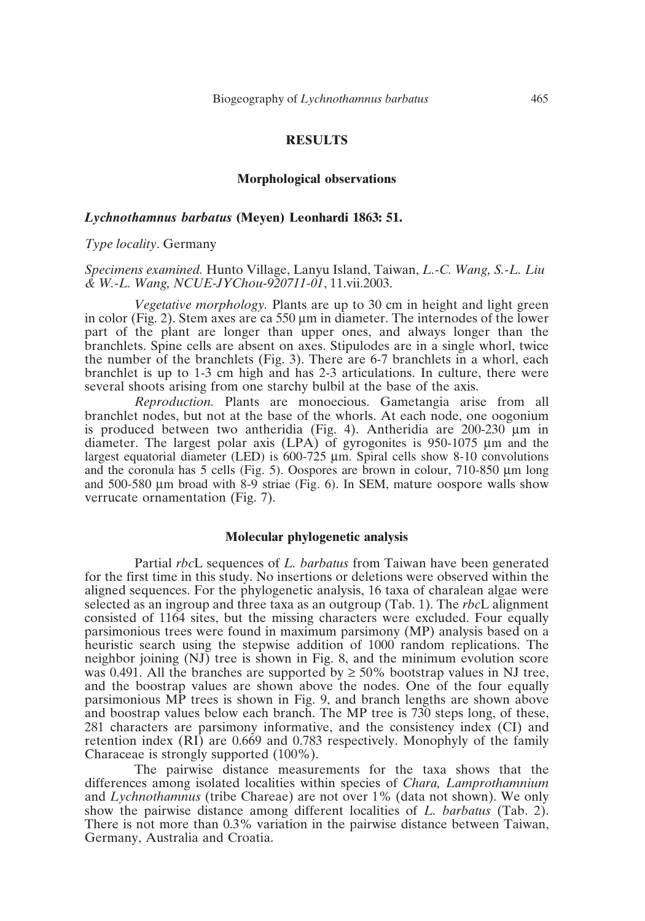## **RESULTS**

#### **Morphological observations**

#### *Lychnothamnus barbatus* **(Meyen) Leonhardi 1863: 51.**

#### *Type locality*. Germany

## *Specimens examined.* Hunto Village, Lanyu Island, Taiwan, *L.-C. Wang, S.-L. Liu & W.-L. Wang, NCUE-JYChou-920711-01*, 11.vii.2003.

*Vegetative morphology.* Plants are up to 30 cm in height and light green in color (Fig. 2). Stem axes are ca  $550 \mu m$  in diameter. The internodes of the lower part of the plant are longer than upper ones, and always longer than the branchlets. Spine cells are absent on axes. Stipulodes are in a single whorl, twice the number of the branchlets (Fig. 3). There are 6-7 branchlets in a whorl, each branchlet is up to 1-3 cm high and has 2-3 articulations. In culture, there were several shoots arising from one starchy bulbil at the base of the axis.

*Reproduction.* Plants are monoecious. Gametangia arise from all branchlet nodes, but not at the base of the whorls. At each node, one oogonium is produced between two antheridia (Fig. 4). Antheridia are  $200-230$  µm in diameter. The largest polar axis (LPA) of gyrogonites is 950-1075 µm and the largest equatorial diameter (LED) is 600-725 µm. Spiral cells show 8-10 convolutions and the coronula has 5 cells (Fig. 5). Oospores are brown in colour,  $710-850 \mu m$  long and 500-580 µm broad with 8-9 striae (Fig. 6). In SEM, mature oospore walls show verrucate ornamentation (Fig. 7).

#### **Molecular phylogenetic analysis**

Partial *rbc*L sequences of *L. barbatus* from Taiwan have been generated for the first time in this study. No insertions or deletions were observed within the aligned sequences. For the phylogenetic analysis, 16 taxa of charalean algae were selected as an ingroup and three taxa as an outgroup (Tab. 1). The *rbc*L alignment consisted of 1164 sites, but the missing characters were excluded. Four equally parsimonious trees were found in maximum parsimony (MP) analysis based on a heuristic search using the stepwise addition of 1000 random replications. The neighbor joining (NJ) tree is shown in Fig. 8, and the minimum evolution score was 0.491. All the branches are supported by  $\geq$  50% bootstrap values in NJ tree, and the boostrap values are shown above the nodes. One of the four equally parsimonious MP trees is shown in Fig. 9, and branch lengths are shown above and boostrap values below each branch. The MP tree is 730 steps long, of these, 281 characters are parsimony informative, and the consistency index (CI) and retention index (RI) are 0.669 and 0.783 respectively. Monophyly of the family Characeae is strongly supported (100%).

The pairwise distance measurements for the taxa shows that the differences among isolated localities within species of *Chara, Lamprothamnium* and *Lychnothamnus* (tribe Chareae) are not over 1% (data not shown). We only show the pairwise distance among different localities of *L. barbatus* (Tab. 2). There is not more than 0.3% variation in the pairwise distance between Taiwan, Germany, Australia and Croatia.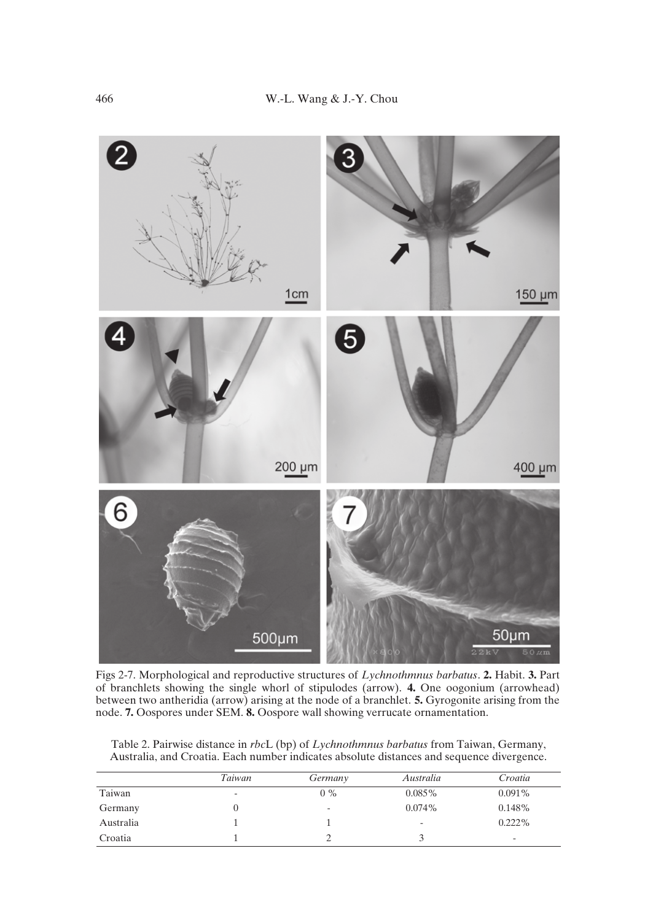

Figs 2-7. Morphological and reproductive structures of *Lychnothmnus barbatus*. **2.** Habit. **3.** Part of branchlets showing the single whorl of stipulodes (arrow). **4.** One oogonium (arrowhead) between two antheridia (arrow) arising at the node of a branchlet. **5.** Gyrogonite arising from the node. **7.** Oospores under SEM. **8.** Oospore wall showing verrucate ornamentation.

|           | Taiwan                   | Germany | Australia                | Croatia                  |
|-----------|--------------------------|---------|--------------------------|--------------------------|
| Taiwan    | $\overline{\phantom{a}}$ | $0\%$   | $0.085\%$                | $0.091\%$                |
| Germany   |                          | ٠       | $0.074\%$                | $0.148\%$                |
| Australia |                          |         | $\overline{\phantom{a}}$ | $0.222\%$                |
| Croatia   |                          |         |                          | $\overline{\phantom{0}}$ |

Table 2. Pairwise distance in *rbc*L (bp) of *Lychnothmnus barbatus* from Taiwan, Germany, Australia, and Croatia. Each number indicates absolute distances and sequence divergence.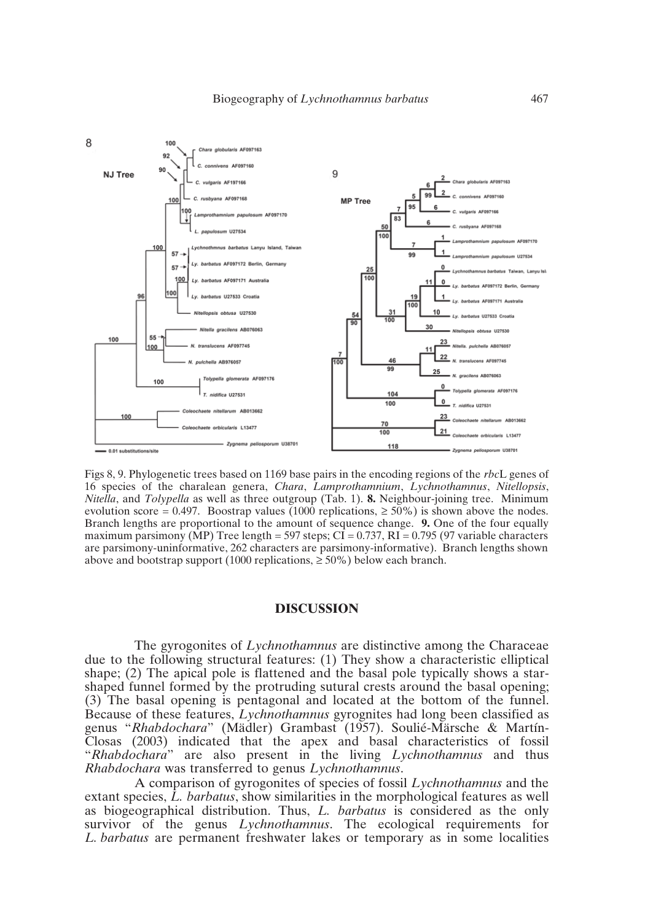

Figs 8, 9. Phylogenetic trees based on 1169 base pairs in the encoding regions of the *rbc*L genes of 16 species of the charalean genera, *Chara*, *Lamprothamnium*, *Lychnothamnus*, *Nitellopsis*, *Nitella*, and *Tolypella* as well as three outgroup (Tab. 1). **8.** Neighbour-joining tree. Minimum evolution score = 0.497. Boostrap values (1000 replications,  $\geq$  50%) is shown above the nodes. Branch lengths are proportional to the amount of sequence change. **9.** One of the four equally maximum parsimony (MP) Tree length = 597 steps;  $\overrightarrow{CI}$  = 0.737,  $\overrightarrow{RI}$  = 0.795 (97 variable characters are parsimony-uninformative, 262 characters are parsimony-informative). Branch lengths shown above and bootstrap support (1000 replications,  $\geq 50\%$ ) below each branch.

## **DISCUSSION**

The gyrogonites of *Lychnothamnus* are distinctive among the Characeae due to the following structural features: (1) They show a characteristic elliptical shape; (2) The apical pole is flattened and the basal pole typically shows a starshaped funnel formed by the protruding sutural crests around the basal opening; (3) The basal opening is pentagonal and located at the bottom of the funnel. Because of these features, *Lychnothamnus* gyrognites had long been classified as genus "*Rhabdochara*" (Mädler) Grambast (1957). Soulié-Märsche & Martín-Closas (2003) indicated that the apex and basal characteristics of fossil "*Rhabdochara*" are also present in the living *Lychnothamnus* and thus *Rhabdochara* was transferred to genus *Lychnothamnus*.

A comparison of gyrogonites of species of fossil *Lychnothamnus* and the extant species, *L. barbatus*, show similarities in the morphological features as well as biogeographical distribution. Thus, *L. barbatus* is considered as the only survivor of the genus *Lychnothamnus*. The ecological requirements for *L. barbatus* are permanent freshwater lakes or temporary as in some localities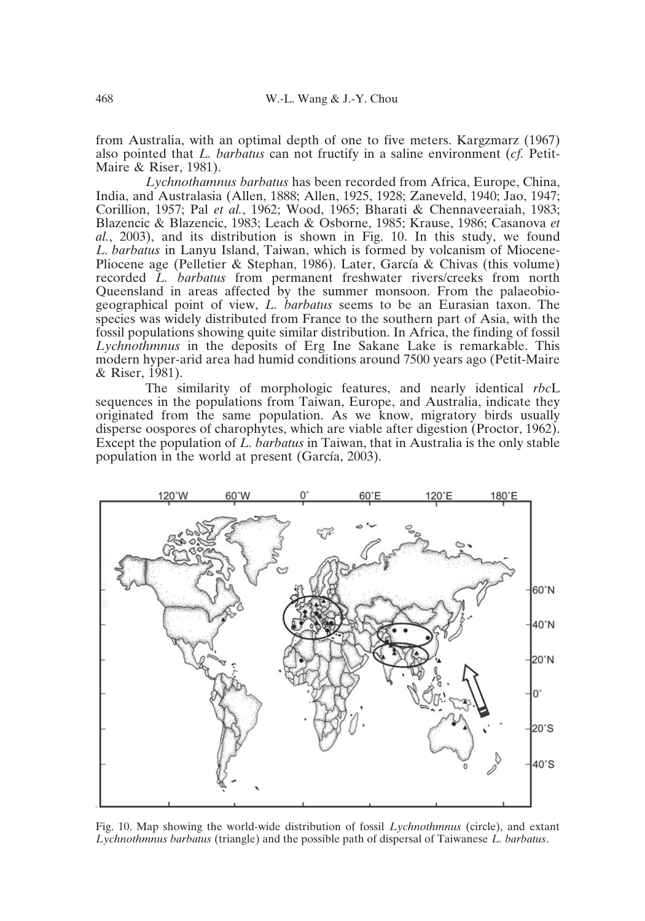from Australia, with an optimal depth of one to five meters. Kargzmarz (1967) also pointed that *L. barbatus* can not fructify in a saline environment (*cf.* Petit-Maire & Riser, 1981).

*Lychnothamnus barbatus* has been recorded from Africa, Europe, China, India, and Australasia (Allen, 1888; Allen, 1925, 1928; Zaneveld, 1940; Jao, 1947; Corillion, 1957; Pal *et al.*, 1962; Wood, 1965; Bharati & Chennaveeraiah, 1983; Blazencic & Blazencic, 1983; Leach & Osborne, 1985; Krause, 1986; Casanova *et al.*, 2003), and its distribution is shown in Fig. 10. In this study, we found *L. barbatus* in Lanyu Island, Taiwan, which is formed by volcanism of Miocene-Pliocene age (Pelletier & Stephan, 1986). Later, García & Chivas (this volume) recorded *L. barbatus* from permanent freshwater rivers/creeks from north Queensland in areas affected by the summer monsoon. From the palaeobiogeographical point of view, *L. barbatus* seems to be an Eurasian taxon. The species was widely distributed from France to the southern part of Asia, with the fossil populations showing quite similar distribution. In Africa, the finding of fossil *Lychnothmnus* in the deposits of Erg Ine Sakane Lake is remarkable. This modern hyper-arid area had humid conditions around 7500 years ago (Petit-Maire & Riser, 1981).

The similarity of morphologic features, and nearly identical *rbc*L sequences in the populations from Taiwan, Europe, and Australia, indicate they originated from the same population. As we know, migratory birds usually disperse oospores of charophytes, which are viable after digestion (Proctor, 1962). Except the population of *L. barbatus* in Taiwan, that in Australia is the only stable population in the world at present (García, 2003).



Fig. 10. Map showing the world-wide distribution of fossil *Lychnothmnus* (circle), and extant *Lychnothmnus barbatus* (triangle) and the possible path of dispersal of Taiwanese *L. barbatus*.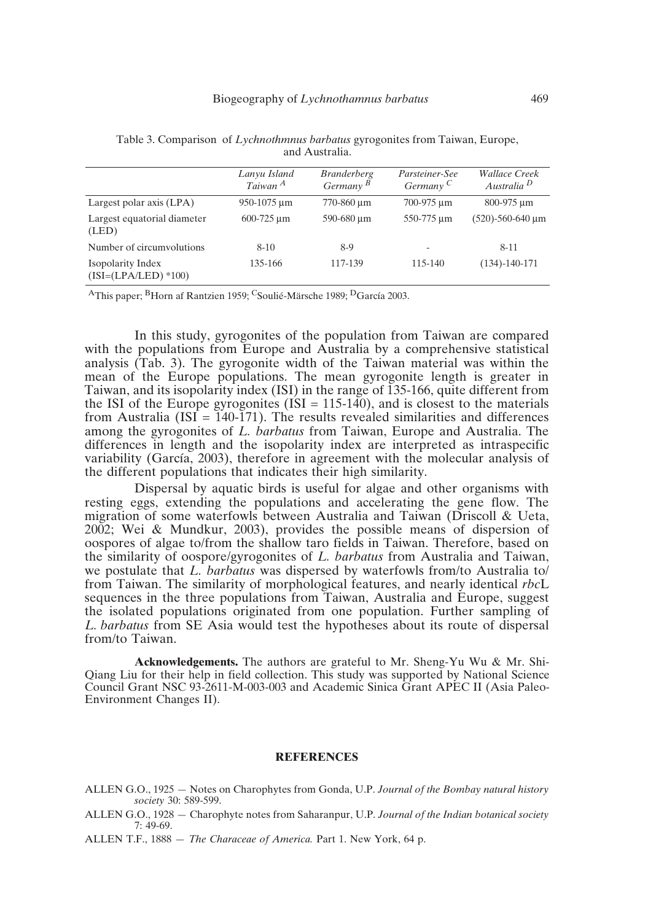|                                            | Lanyu Island<br>Taiwan <sup>A</sup> | <i>Branderberg</i><br>Germany $B$ | Parsteiner-See<br>Germany <sup>C</sup> | <i>Wallace Creek</i><br>Australia <sup>D</sup> |
|--------------------------------------------|-------------------------------------|-----------------------------------|----------------------------------------|------------------------------------------------|
| Largest polar axis (LPA)                   | 950-1075 um                         | 770-860 µm                        | 700-975 um                             | 800-975 um                                     |
| Largest equatorial diameter<br>(LED)       | $600 - 725 \text{ µm}$              | 590-680 um                        | 550-775 um                             | $(520) - 560 - 640 \,\mu m$                    |
| Number of circumvolutions                  | $8 - 10$                            | 8-9                               | $\overline{\phantom{a}}$               | $8 - 11$                                       |
| Isopolarity Index<br>$(ISI=(LPA/LED)*100)$ | 135-166                             | 117-139                           | $115 - 140$                            | $(134) - 140 - 171$                            |

Table 3. Comparison of *Lychnothmnus barbatus* gyrogonites from Taiwan, Europe, and Australia.

AThis paper; BHorn af Rantzien 1959; CSoulié-Märsche 1989; DGarcía 2003.

In this study, gyrogonites of the population from Taiwan are compared with the populations from Europe and Australia by a comprehensive statistical analysis (Tab. 3). The gyrogonite width of the Taiwan material was within the mean of the Europe populations. The mean gyrogonite length is greater in Taiwan, and its isopolarity index (ISI) in the range of 135-166, quite different from the ISI of the Europe gyrogonites  $(ISI = 115-140)$ , and is closest to the materials from Australia (ISI = 140-171). The results revealed similarities and differences among the gyrogonites of *L. barbatus* from Taiwan, Europe and Australia. The differences in length and the isopolarity index are interpreted as intraspecific variability (García, 2003), therefore in agreement with the molecular analysis of the different populations that indicates their high similarity.

Dispersal by aquatic birds is useful for algae and other organisms with resting eggs, extending the populations and accelerating the gene flow. The migration of some waterfowls between Australia and Taiwan (Driscoll & Ueta, 2002; Wei & Mundkur, 2003), provides the possible means of dispersion of oospores of algae to/from the shallow taro fields in Taiwan. Therefore, based on the similarity of oospore/gyrogonites of *L. barbatus* from Australia and Taiwan, we postulate that *L. barbatus* was dispersed by waterfowls from/to Australia to/ from Taiwan. The similarity of morphological features, and nearly identical *rbc*L sequences in the three populations from Taiwan, Australia and Europe, suggest the isolated populations originated from one population. Further sampling of *L. barbatus* from SE Asia would test the hypotheses about its route of dispersal from/to Taiwan.

**Acknowledgements.** The authors are grateful to Mr. Sheng-Yu Wu & Mr. Shi-Qiang Liu for their help in field collection. This study was supported by National Science Council Grant NSC 93-2611-M-003-003 and Academic Sinica Grant APEC II (Asia Paleo-Environment Changes II).

#### **REFERENCES**

- ALLEN G.O., 1925 Notes on Charophytes from Gonda, U.P. *Journal of the Bombay natural history society* 30: 589-599.
- ALLEN G.O., 1928 Charophyte notes from Saharanpur, U.P. *Journal of the Indian botanical society* 7: 49-69.
- ALLEN T.F., 1888 *The Characeae of America.* Part 1. New York, 64 p.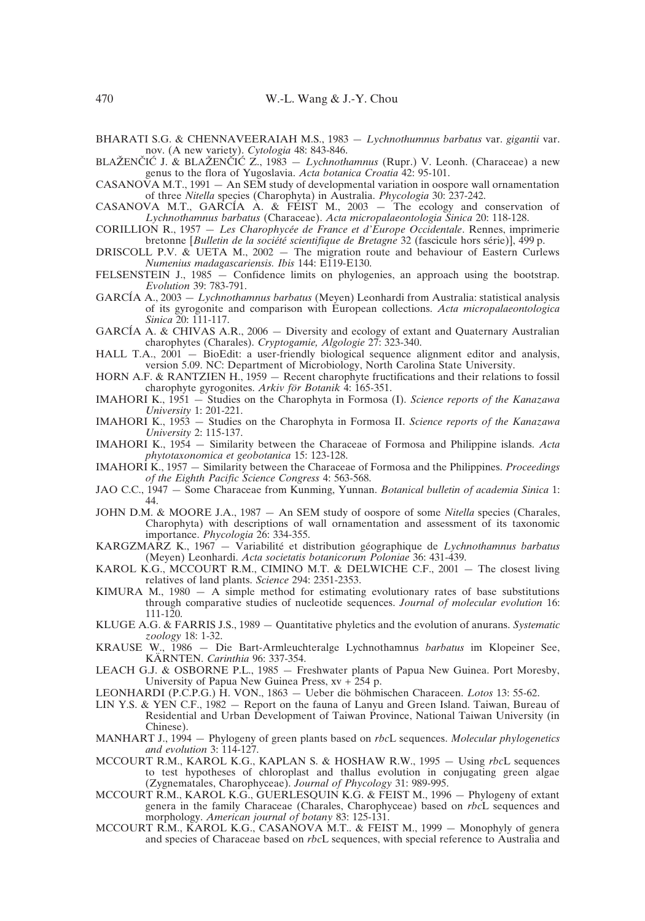BHARATI S.G. & CHENNAVEERAIAH M.S., 1983 — *Lychnothumnus barbatus* var. *gigantii* var. nov. (A new variety). *Cytologia* 48: 843-846.

BLAŽENČIĆ J. & BLAŽENČIĆ Z., 1983 – *Lychnothamnus* (Rupr.) V. Leonh. (Characeae) a new genus to the flora of Yugoslavia. *Acta botanica Croatia* 42: 95-101.

CASANOVA M.T., 1991  $-$  An SEM study of developmental variation in oospore wall ornamentation of three *Nitella* species (Charophyta) in Australia. *Phycologia* 30: 237-242.

CASANOVA M.T., GARCÍA A. & FEIST M., 2003 — The ecology and conservation of *Lychnothamnus barbatus* (Characeae). *Acta micropalaeontologia Sinica* 20: 118-128.

CORILLION R., 1957 — *Les Charophycée de France et d'Europe Occidentale*. Rennes, imprimerie bretonne [*Bulletin de la société scientifique de Bretagne* 32 (fascicule hors série)], 499 p.

DRISCOLL P.V. & UETA M., 2002 — The migration route and behaviour of Eastern Curlews *Numenius madagascariensis. Ibis* 144: E119-E130.

- FELSENSTEIN J., 1985 Confidence limits on phylogenies, an approach using the bootstrap. *Evolution* 39: 783-791.
- GARCÍA A., 2003 *Lychnothamnus barbatus* (Meyen) Leonhardi from Australia: statistical analysis of its gyrogonite and comparison with European collections. *Acta micropalaeontologica Sinica* 20: 111-117.
- GARCÍA A. & CHIVAS A.R., 2006 Diversity and ecology of extant and Quaternary Australian charophytes (Charales). *Cryptogamie, Algologie* 27: 323-340.

HALL T.A., 2001 — BioEdit: a user-friendly biological sequence alignment editor and analysis, version 5.09. NC: Department of Microbiology, North Carolina State University.

- HORN A.F. & RANTZIEN H., 1959 Recent charophyte fructifications and their relations to fossil charophyte gyrogonites. *Arkiv för Botanik* 4: 165-351.
- IMAHORI K., 1951 Studies on the Charophyta in Formosa (I). *Science reports of the Kanazawa University* 1: 201-221.
- IMAHORI K., 1953 Studies on the Charophyta in Formosa II. *Science reports of the Kanazawa University* 2: 115-137.
- IMAHORI K., 1954 Similarity between the Characeae of Formosa and Philippine islands. *Acta phytotaxonomica et geobotanica* 15: 123-128.
- IMAHORI K., 1957 Similarity between the Characeae of Formosa and the Philippines. *Proceedings of the Eighth Pacific Science Congress* 4: 563-568.
- JAO C.C., 1947 Some Characeae from Kunming, Yunnan. *Botanical bulletin of academia Sinica* 1: 44.
- JOHN D.M. & MOORE J.A., 1987 An SEM study of oospore of some *Nitella* species (Charales, Charophyta) with descriptions of wall ornamentation and assessment of its taxonomic importance. *Phycologia* 26: 334-355.
- KARGZMARZ K., 1967 Variabilité et distribution géographique de *Lychnothamnus barbatus* (Meyen) Leonhardi. *Acta societatis botanicorum Poloniae* 36: 431-439.
- KAROL K.G., MCCOURT R.M., CIMINO M.T. & DELWICHE C.F., 2001 The closest living relatives of land plants. *Science* 294: 2351-2353.
- KIMURA M., 1980 A simple method for estimating evolutionary rates of base substitutions through comparative studies of nucleotide sequences. *Journal of molecular evolution* 16: 111-120.
- KLUGE A.G. & FARRIS J.S., 1989 Quantitative phyletics and the evolution of anurans. *Systematic zoology* 18: 1-32.
- KRAUSE W., 1986 Die Bart-Armleuchteralge Lychnothamnus *barbatus* im Klopeiner See, KÄRNTEN. *Carinthia* 96: 337-354.
- LEACH G.J. & OSBORNE P.L., 1985 Freshwater plants of Papua New Guinea. Port Moresby, University of Papua New Guinea Press, xv + 254 p.
- LEONHARDI (P.C.P.G.) H. VON., 1863 Ueber die böhmischen Characeen. *Lotos* 13: 55-62.
- LIN Y.S. & YEN C.F., 1982 Report on the fauna of Lanyu and Green Island. Taiwan, Bureau of Residential and Urban Development of Taiwan Province, National Taiwan University (in Chinese).
- MANHART J., 1994 Phylogeny of green plants based on *rbc*L sequences. *Molecular phylogenetics and evolution* 3: 114-127.
- MCCOURT R.M., KAROL K.G., KAPLAN S. & HOSHAW R.W., 1995 Using *rbc*L sequences to test hypotheses of chloroplast and thallus evolution in conjugating green algae (Zygnematales, Charophyceae). *Journal of Phycology* 31: 989-995.
- MCCOURT R.M., KAROL K.G., GUERLESQUIN K.G. & FEIST M., 1996 Phylogeny of extant genera in the family Characeae (Charales, Charophyceae) based on *rbc*L sequences and morphology. *American journal of botany* 83: 125-131.
- MCCOURT R.M., KAROL K.G., CASANOVA M.T.. & FEIST M., 1999 Monophyly of genera and species of Characeae based on *rbc*L sequences, with special reference to Australia and